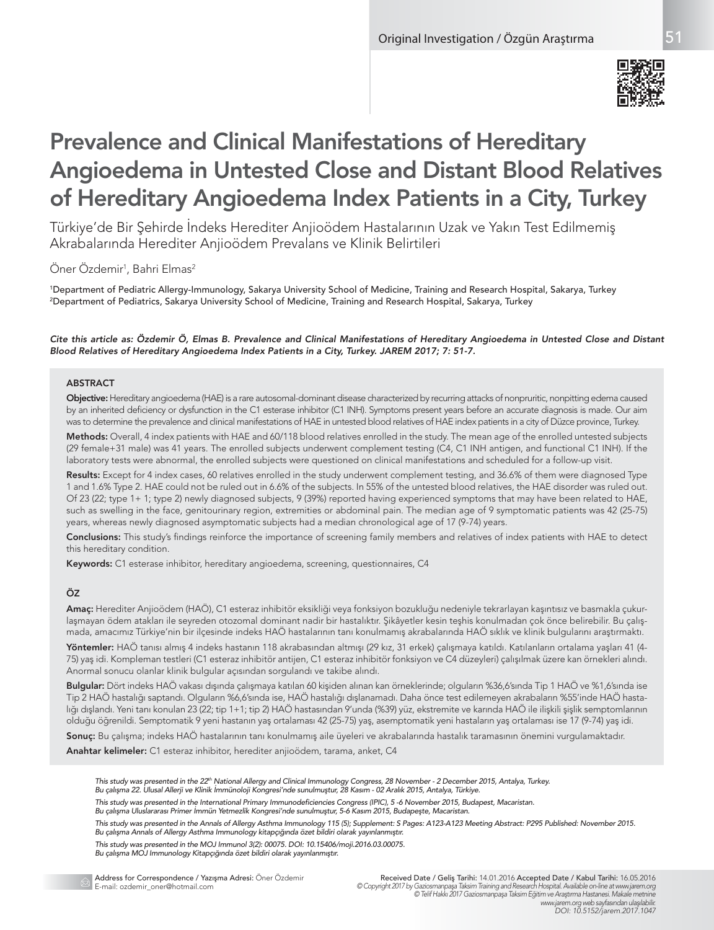

# Prevalence and Clinical Manifestations of Hereditary Angioedema in Untested Close and Distant Blood Relatives of Hereditary Angioedema Index Patients in a City, Turkey

Türkiye'de Bir Şehirde İndeks Herediter Anjioödem Hastalarının Uzak ve Yakın Test Edilmemiş Akrabalarında Herediter Anjioödem Prevalans ve Klinik Belirtileri

# Oner Ozdemir<sup>1</sup>, Bahri Elmas<sup>2</sup>

1 Department of Pediatric Allergy-Immunology, Sakarya University School of Medicine, Training and Research Hospital, Sakarya, Turkey 2 Department of Pediatrics, Sakarya University School of Medicine, Training and Research Hospital, Sakarya, Turkey

#### *Cite this article as: Özdemir Ö, Elmas B. Prevalence and Clinical Manifestations of Hereditary Angioedema in Untested Close and Distant Blood Relatives of Hereditary Angioedema Index Patients in a City, Turkey. JAREM 2017; 7: 51-7.*

# **ABSTRACT**

Objective: Hereditary angioedema (HAE) is a rare autosomal-dominant disease characterized by recurring attacks of nonpruritic, nonpitting edema caused by an inherited deficiency or dysfunction in the C1 esterase inhibitor (C1 INH). Symptoms present years before an accurate diagnosis is made. Our aim was to determine the prevalence and clinical manifestations of HAE in untested blood relatives of HAE index patients in a city of Düzce province, Turkey.

Methods: Overall, 4 index patients with HAE and 60/118 blood relatives enrolled in the study. The mean age of the enrolled untested subjects (29 female+31 male) was 41 years. The enrolled subjects underwent complement testing (C4, C1 INH antigen, and functional C1 INH). If the laboratory tests were abnormal, the enrolled subjects were questioned on clinical manifestations and scheduled for a follow-up visit.

Results: Except for 4 index cases, 60 relatives enrolled in the study underwent complement testing, and 36.6% of them were diagnosed Type 1 and 1.6% Type 2. HAE could not be ruled out in 6.6% of the subjects. In 55% of the untested blood relatives, the HAE disorder was ruled out. Of 23 (22; type 1+ 1; type 2) newly diagnosed subjects, 9 (39%) reported having experienced symptoms that may have been related to HAE, such as swelling in the face, genitourinary region, extremities or abdominal pain. The median age of 9 symptomatic patients was 42 (25-75) years, whereas newly diagnosed asymptomatic subjects had a median chronological age of 17 (9-74) years.

Conclusions: This study's findings reinforce the importance of screening family members and relatives of index patients with HAE to detect this hereditary condition.

Keywords: C1 esterase inhibitor, hereditary angioedema, screening, questionnaires, C4

# ÖZ

Amaç: Herediter Anjioödem (HAÖ), C1 esteraz inhibitör eksikliği veya fonksiyon bozukluğu nedeniyle tekrarlayan kaşıntısız ve basmakla çukurlaşmayan ödem atakları ile seyreden otozomal dominant nadir bir hastalıktır. Şikâyetler kesin teşhis konulmadan çok önce belirebilir. Bu çalışmada, amacımız Türkiye'nin bir ilçesinde indeks HAÖ hastalarının tanı konulmamış akrabalarında HAÖ sıklık ve klinik bulgularını araştırmaktı.

Yöntemler: HAÖ tanısı almış 4 indeks hastanın 118 akrabasından altmışı (29 kız, 31 erkek) çalışmaya katıldı. Katılanların ortalama yaşları 41 (4-75) yaş idi. Kompleman testleri (C1 esteraz inhibitör antijen, C1 esteraz inhibitör fonksiyon ve C4 düzeyleri) çalışılmak üzere kan örnekleri alındı. Anormal sonucu olanlar klinik bulgular açısından sorgulandı ve takibe alındı.

Bulgular: Dört indeks HAÖ vakası dışında çalışmaya katılan 60 kişiden alınan kan örneklerinde; olguların %36,6'sında Tip 1 HAÖ ve %1,6'sında ise Tip 2 HAÖ hastalığı saptandı. Olguların %6,6'sında ise, HAÖ hastalığı dışlanamadı. Daha önce test edilemeyen akrabaların %55'inde HAÖ hastalığı dışlandı. Yeni tanı konulan 23 (22; tip 1+1; tip 2) HAÖ hastasından 9'unda (%39) yüz, ekstremite ve karında HAÖ ile ilişkili şişlik semptomlarının olduğu öğrenildi. Semptomatik 9 yeni hastanın yaş ortalaması 42 (25-75) yaş, asemptomatik yeni hastaların yaş ortalaması ise 17 (9-74) yaş idi.

Sonuç: Bu çalışma; indeks HAÖ hastalarının tanı konulmamış aile üyeleri ve akrabalarında hastalık taramasının önemini vurgulamaktadır.

Anahtar kelimeler: C1 esteraz inhibitor, herediter anjioödem, tarama, anket, C4

*This study was presented in the 22th National Allergy and Clinical Immunology Congress, 28 November - 2 December 2015, Antalya, Turkey.*

*Bu çalışma 22. Ulusal Allerji ve Klinik İmmünoloji Kongresi'nde sunulmuştur, 28 Kasım - 02 Aralık 2015, Antalya, Türkiye.*

- *This study was presented in the International Primary Immunodeficiencies Congress (IPIC), 5 -6 November 2015, Budapest, Macaristan.*
- *Bu çalışma Uluslararası Primer İmmün Yetmezlik Kongresi'nde sunulmuştur, 5-6 Kasım 2015, Budapeşte, Macaristan.*

*This study was presented in the Annals of Allergy Asthma Immunology 115 (5); Supplement: S Pages: A123-A123 Meeting Abstract: P295 Published: November 2015. Bu çalışma Annals of Allergy Asthma Immunology kitapçığında özet bildiri olarak yayınlanmıştır.*

*This study was presented in the MOJ Immunol 3(2): 00075. DOI: 10.15406/moji.2016.03.00075.*

*Bu çalışma MOJ Immunology Kitapçığında özet bildiri olarak yayınlanmıştır.*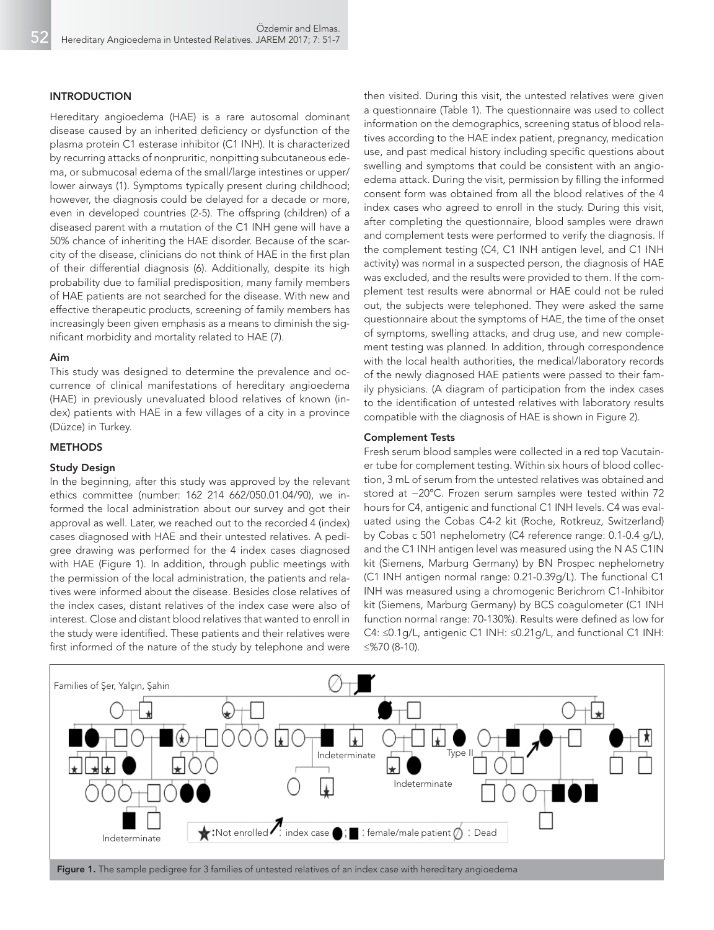#### INTRODUCTION

Hereditary angioedema (HAE) is a rare autosomal dominant disease caused by an inherited deficiency or dysfunction of the plasma protein C1 esterase inhibitor (C1 INH). It is characterized by recurring attacks of nonpruritic, nonpitting subcutaneous edema, or submucosal edema of the small/large intestines or upper/ lower airways (1). Symptoms typically present during childhood; however, the diagnosis could be delayed for a decade or more, even in developed countries (2-5). The offspring (children) of a diseased parent with a mutation of the C1 INH gene will have a 50% chance of inheriting the HAE disorder. Because of the scarcity of the disease, clinicians do not think of HAE in the first plan of their differential diagnosis (6). Additionally, despite its high probability due to familial predisposition, many family members of HAE patients are not searched for the disease. With new and effective therapeutic products, screening of family members has increasingly been given emphasis as a means to diminish the significant morbidity and mortality related to HAE (7).

#### Aim

This study was designed to determine the prevalence and occurrence of clinical manifestations of hereditary angioedema (HAE) in previously unevaluated blood relatives of known (index) patients with HAE in a few villages of a city in a province (Düzce) in Turkey.

#### **METHODS**

# Study Design

In the beginning, after this study was approved by the relevant ethics committee (number: 162 214 662/050.01.04/90), we informed the local administration about our survey and got their approval as well. Later, we reached out to the recorded 4 (index) cases diagnosed with HAE and their untested relatives. A pedigree drawing was performed for the 4 index cases diagnosed with HAE (Figure 1). In addition, through public meetings with the permission of the local administration, the patients and relatives were informed about the disease. Besides close relatives of the index cases, distant relatives of the index case were also of interest. Close and distant blood relatives that wanted to enroll in the study were identified. These patients and their relatives were first informed of the nature of the study by telephone and were

then visited. During this visit, the untested relatives were given a questionnaire (Table 1). The questionnaire was used to collect information on the demographics, screening status of blood relatives according to the HAE index patient, pregnancy, medication use, and past medical history including specific questions about swelling and symptoms that could be consistent with an angioedema attack. During the visit, permission by filling the informed consent form was obtained from all the blood relatives of the 4 index cases who agreed to enroll in the study. During this visit, after completing the questionnaire, blood samples were drawn and complement tests were performed to verify the diagnosis. If the complement testing (C4, C1 INH antigen level, and C1 INH activity) was normal in a suspected person, the diagnosis of HAE was excluded, and the results were provided to them. If the complement test results were abnormal or HAE could not be ruled out, the subjects were telephoned. They were asked the same questionnaire about the symptoms of HAE, the time of the onset of symptoms, swelling attacks, and drug use, and new complement testing was planned. In addition, through correspondence with the local health authorities, the medical/laboratory records of the newly diagnosed HAE patients were passed to their family physicians. (A diagram of participation from the index cases to the identification of untested relatives with laboratory results compatible with the diagnosis of HAE is shown in Figure 2).

#### Complement Tests

Fresh serum blood samples were collected in a red top Vacutainer tube for complement testing. Within six hours of blood collection, 3 mL of serum from the untested relatives was obtained and stored at −20°C. Frozen serum samples were tested within 72 hours for C4, antigenic and functional C1 INH levels. C4 was evaluated using the Cobas C4-2 kit (Roche, Rotkreuz, Switzerland) by Cobas c 501 nephelometry (C4 reference range: 0.1-0.4 g/L), and the C1 INH antigen level was measured using the N AS C1IN kit (Siemens, Marburg Germany) by BN Prospec nephelometry (C1 INH antigen normal range: 0.21-0.39g/L). The functional C1 INH was measured using a chromogenic Berichrom C1-Inhibitor kit (Siemens, Marburg Germany) by BCS coagulometer (C1 INH function normal range: 70-130%). Results were defined as low for C4: ≤0.1g/L, antigenic C1 INH: ≤0.21g/L, and functional C1 INH: ≤%70 (8-10).

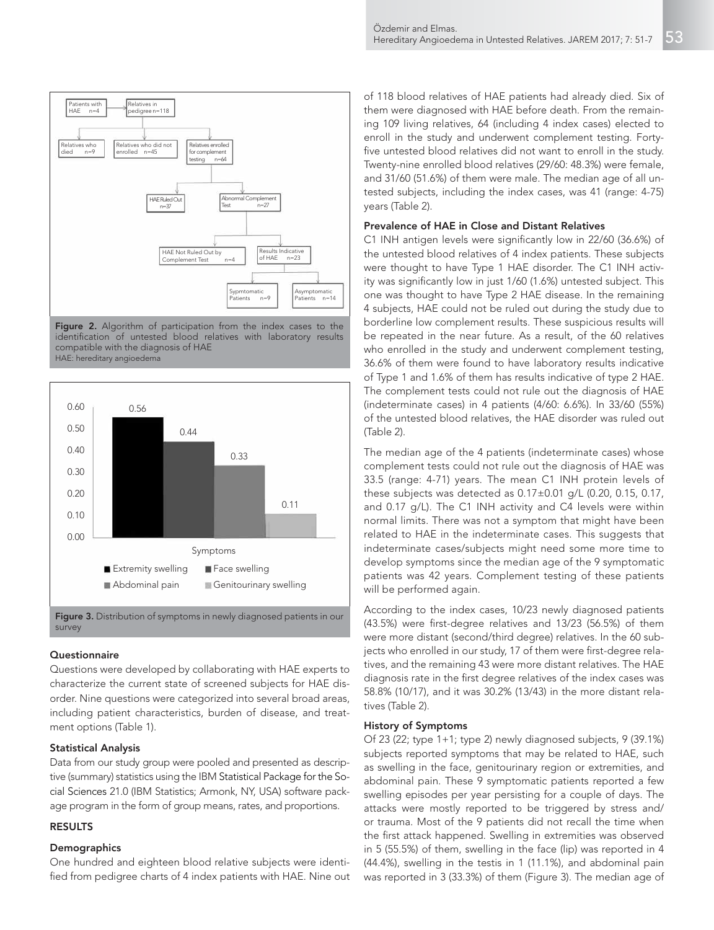

Figure 2. Algorithm of participation from the index cases to the identification of untested blood relatives with laboratory results compatible with the diagnosis of HAE HAE: hereditary angioedema



Figure 3. Distribution of symptoms in newly diagnosed patients in our survey

#### **Questionnaire**

Questions were developed by collaborating with HAE experts to characterize the current state of screened subjects for HAE disorder. Nine questions were categorized into several broad areas, including patient characteristics, burden of disease, and treatment options (Table 1).

# Statistical Analysis

Data from our study group were pooled and presented as descriptive (summary) statistics using the IBM Statistical Package for the Social Sciences 21.0 (IBM Statistics; Armonk, NY, USA) software package program in the form of group means, rates, and proportions.

# RESULTS

#### **Demographics**

One hundred and eighteen blood relative subjects were identified from pedigree charts of 4 index patients with HAE. Nine out of 118 blood relatives of HAE patients had already died. Six of them were diagnosed with HAE before death. From the remaining 109 living relatives, 64 (including 4 index cases) elected to enroll in the study and underwent complement testing. Fortyfive untested blood relatives did not want to enroll in the study. Twenty-nine enrolled blood relatives (29/60: 48.3%) were female, and 31/60 (51.6%) of them were male. The median age of all untested subjects, including the index cases, was 41 (range: 4-75) years (Table 2).

## Prevalence of HAE in Close and Distant Relatives

C1 INH antigen levels were significantly low in 22/60 (36.6%) of the untested blood relatives of 4 index patients. These subjects were thought to have Type 1 HAE disorder. The C1 INH activity was significantly low in just 1/60 (1.6%) untested subject. This one was thought to have Type 2 HAE disease. In the remaining 4 subjects, HAE could not be ruled out during the study due to borderline low complement results. These suspicious results will be repeated in the near future. As a result, of the 60 relatives who enrolled in the study and underwent complement testing, 36.6% of them were found to have laboratory results indicative of Type 1 and 1.6% of them has results indicative of type 2 HAE. The complement tests could not rule out the diagnosis of HAE (indeterminate cases) in 4 patients (4/60: 6.6%). In 33/60 (55%) of the untested blood relatives, the HAE disorder was ruled out (Table 2).

The median age of the 4 patients (indeterminate cases) whose complement tests could not rule out the diagnosis of HAE was 33.5 (range: 4-71) years. The mean C1 INH protein levels of these subjects was detected as 0.17±0.01 g/L (0.20, 0.15, 0.17, and 0.17 g/L). The C1 INH activity and C4 levels were within normal limits. There was not a symptom that might have been related to HAE in the indeterminate cases. This suggests that indeterminate cases/subjects might need some more time to develop symptoms since the median age of the 9 symptomatic patients was 42 years. Complement testing of these patients will be performed again.

According to the index cases, 10/23 newly diagnosed patients (43.5%) were first-degree relatives and 13/23 (56.5%) of them were more distant (second/third degree) relatives. In the 60 subjects who enrolled in our study, 17 of them were first-degree relatives, and the remaining 43 were more distant relatives. The HAE diagnosis rate in the first degree relatives of the index cases was 58.8% (10/17), and it was 30.2% (13/43) in the more distant relatives (Table 2).

# History of Symptoms

Of 23 (22; type 1+1; type 2) newly diagnosed subjects, 9 (39.1%) subjects reported symptoms that may be related to HAE, such as swelling in the face, genitourinary region or extremities, and abdominal pain. These 9 symptomatic patients reported a few swelling episodes per year persisting for a couple of days. The attacks were mostly reported to be triggered by stress and/ or trauma. Most of the 9 patients did not recall the time when the first attack happened. Swelling in extremities was observed in 5 (55.5%) of them, swelling in the face (lip) was reported in 4 (44.4%), swelling in the testis in 1 (11.1%), and abdominal pain was reported in 3 (33.3%) of them (Figure 3). The median age of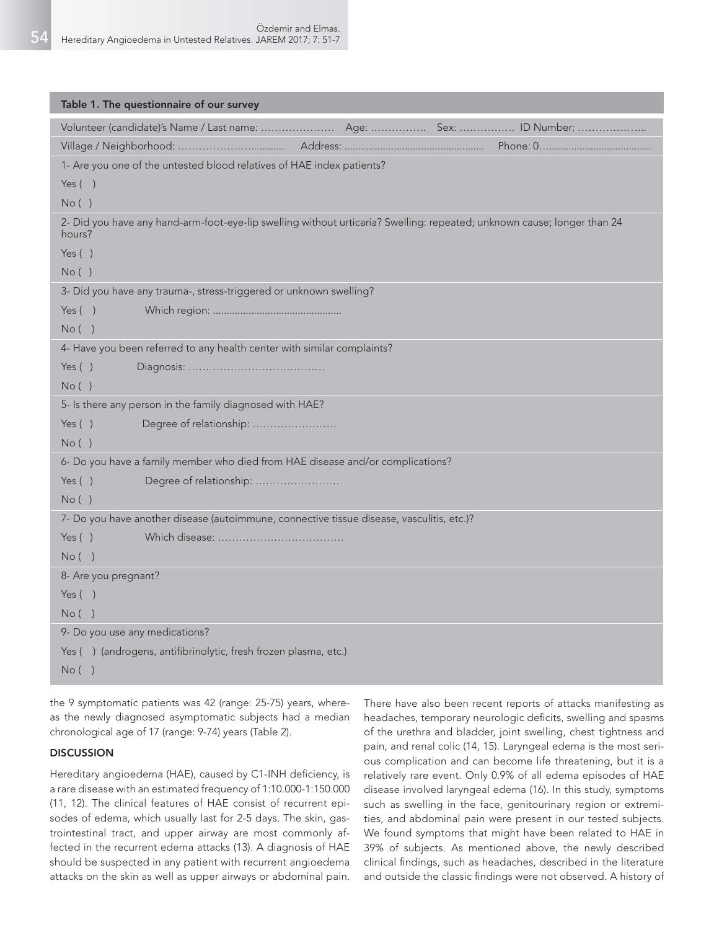| Table 1. The questionnaire of our survey                                                                                          |  |  |  |  |  |  |  |  |  |  |
|-----------------------------------------------------------------------------------------------------------------------------------|--|--|--|--|--|--|--|--|--|--|
|                                                                                                                                   |  |  |  |  |  |  |  |  |  |  |
|                                                                                                                                   |  |  |  |  |  |  |  |  |  |  |
| 1- Are you one of the untested blood relatives of HAE index patients?                                                             |  |  |  |  |  |  |  |  |  |  |
| Yes $( )$                                                                                                                         |  |  |  |  |  |  |  |  |  |  |
| No()                                                                                                                              |  |  |  |  |  |  |  |  |  |  |
| 2- Did you have any hand-arm-foot-eye-lip swelling without urticaria? Swelling: repeated; unknown cause; longer than 24<br>hours? |  |  |  |  |  |  |  |  |  |  |
| Yes $( )$                                                                                                                         |  |  |  |  |  |  |  |  |  |  |
| No()                                                                                                                              |  |  |  |  |  |  |  |  |  |  |
| 3- Did you have any trauma-, stress-triggered or unknown swelling?                                                                |  |  |  |  |  |  |  |  |  |  |
| Yes $( )$                                                                                                                         |  |  |  |  |  |  |  |  |  |  |
| No( )                                                                                                                             |  |  |  |  |  |  |  |  |  |  |
| 4- Have you been referred to any health center with similar complaints?                                                           |  |  |  |  |  |  |  |  |  |  |
| Yes $( )$                                                                                                                         |  |  |  |  |  |  |  |  |  |  |
| No()                                                                                                                              |  |  |  |  |  |  |  |  |  |  |
| 5- Is there any person in the family diagnosed with HAE?                                                                          |  |  |  |  |  |  |  |  |  |  |
| Degree of relationship:<br>Yes $( )$                                                                                              |  |  |  |  |  |  |  |  |  |  |
| No()                                                                                                                              |  |  |  |  |  |  |  |  |  |  |
| 6- Do you have a family member who died from HAE disease and/or complications?                                                    |  |  |  |  |  |  |  |  |  |  |
| Yes $( )$<br>Degree of relationship:                                                                                              |  |  |  |  |  |  |  |  |  |  |
| No()                                                                                                                              |  |  |  |  |  |  |  |  |  |  |
| 7- Do you have another disease (autoimmune, connective tissue disease, vasculitis, etc.)?                                         |  |  |  |  |  |  |  |  |  |  |
| Yes $( )$                                                                                                                         |  |  |  |  |  |  |  |  |  |  |
| No( )                                                                                                                             |  |  |  |  |  |  |  |  |  |  |
| 8- Are you pregnant?                                                                                                              |  |  |  |  |  |  |  |  |  |  |
| Yes $( )$                                                                                                                         |  |  |  |  |  |  |  |  |  |  |
| No( )                                                                                                                             |  |  |  |  |  |  |  |  |  |  |
| 9- Do you use any medications?                                                                                                    |  |  |  |  |  |  |  |  |  |  |
| Yes () (androgens, antifibrinolytic, fresh frozen plasma, etc.)                                                                   |  |  |  |  |  |  |  |  |  |  |
| No( )                                                                                                                             |  |  |  |  |  |  |  |  |  |  |

the 9 symptomatic patients was 42 (range: 25-75) years, whereas the newly diagnosed asymptomatic subjects had a median chronological age of 17 (range: 9-74) years (Table 2).

# **DISCUSSION**

Hereditary angioedema (HAE), caused by C1-INH deficiency, is a rare disease with an estimated frequency of 1:10.000-1:150.000 (11, 12). The clinical features of HAE consist of recurrent episodes of edema, which usually last for 2-5 days. The skin, gastrointestinal tract, and upper airway are most commonly affected in the recurrent edema attacks (13). A diagnosis of HAE should be suspected in any patient with recurrent angioedema attacks on the skin as well as upper airways or abdominal pain.

There have also been recent reports of attacks manifesting as headaches, temporary neurologic deficits, swelling and spasms of the urethra and bladder, joint swelling, chest tightness and pain, and renal colic (14, 15). Laryngeal edema is the most serious complication and can become life threatening, but it is a relatively rare event. Only 0.9% of all edema episodes of HAE disease involved laryngeal edema (16). In this study, symptoms such as swelling in the face, genitourinary region or extremities, and abdominal pain were present in our tested subjects. We found symptoms that might have been related to HAE in 39% of subjects. As mentioned above, the newly described clinical findings, such as headaches, described in the literature and outside the classic findings were not observed. A history of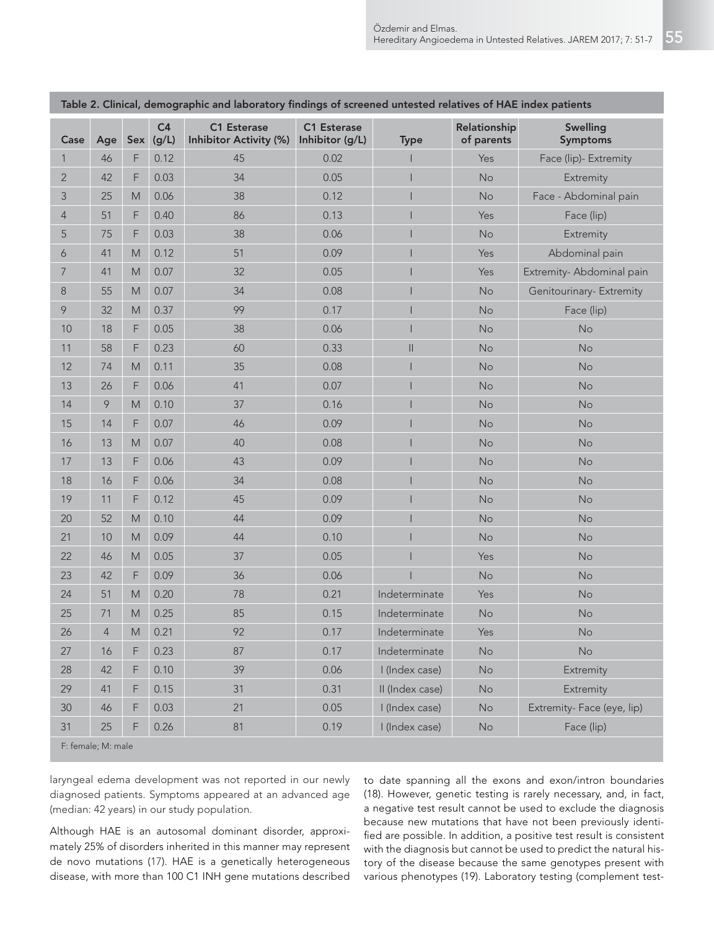|                    |                |                                                                                                            |                         | <b>1980 - Company active district and raperatory</b> imaings or servence antested relatives of three mack patients |                                |                 |                            |                             |  |
|--------------------|----------------|------------------------------------------------------------------------------------------------------------|-------------------------|--------------------------------------------------------------------------------------------------------------------|--------------------------------|-----------------|----------------------------|-----------------------------|--|
| Case               | Age            | Sex                                                                                                        | C <sub>4</sub><br>(g/L) | C1 Esterase<br>Inhibitor Activity (%)                                                                              | C1 Esterase<br>Inhibitor (g/L) | <b>Type</b>     | Relationship<br>of parents | <b>Swelling</b><br>Symptoms |  |
| 1                  | 46             | $\mathsf F$                                                                                                | 0.12                    | 45                                                                                                                 | 0.02                           |                 | Yes                        | Face (lip)- Extremity       |  |
| $\overline{2}$     | 42             | F                                                                                                          | 0.03                    | 34                                                                                                                 | 0.05                           |                 | No                         | Extremity                   |  |
| 3                  | 25             | ${\sf M}$                                                                                                  | 0.06                    | 38                                                                                                                 | 0.12                           |                 | No                         | Face - Abdominal pain       |  |
| 4                  | 51             | F                                                                                                          | 0.40                    | 86                                                                                                                 | 0.13                           |                 | Yes                        | Face (lip)                  |  |
| 5                  | 75             | $\mathsf F$                                                                                                | 0.03                    | 38                                                                                                                 | 0.06                           |                 | No                         | Extremity                   |  |
| 6                  | 41             | M                                                                                                          | 0.12                    | 51                                                                                                                 | 0.09                           |                 | Yes                        | Abdominal pain              |  |
| $\overline{7}$     | 41             | M                                                                                                          | 0.07                    | 32                                                                                                                 | 0.05                           |                 | Yes                        | Extremity-Abdominal pain    |  |
| $\,8\,$            | 55             | M                                                                                                          | 0.07                    | 34                                                                                                                 | 0.08                           | I               | No                         | Genitourinary- Extremity    |  |
| 9                  | 32             | $\mathsf{M}% _{T}=\mathsf{M}_{T}\!\left( a,b\right) ,\ \mathsf{M}_{T}=\mathsf{M}_{T}\!\left( a,b\right) ,$ | 0.37                    | 99                                                                                                                 | 0.17                           |                 | No                         | Face (lip)                  |  |
| 10                 | 18             | F                                                                                                          | 0.05                    | 38                                                                                                                 | 0.06                           |                 | No                         | No                          |  |
| 11                 | 58             | F                                                                                                          | 0.23                    | 60                                                                                                                 | 0.33                           | $\vert\vert$    | No                         | No                          |  |
| 12                 | 74             | M                                                                                                          | 0.11                    | 35                                                                                                                 | 0.08                           | I               | <b>No</b>                  | No                          |  |
| 13                 | 26             | F                                                                                                          | 0.06                    | 41                                                                                                                 | 0.07                           |                 | No                         | No                          |  |
| 14                 | 9              | M                                                                                                          | 0.10                    | 37                                                                                                                 | 0.16                           |                 | No                         | No                          |  |
| 15                 | 14             | F                                                                                                          | 0.07                    | 46                                                                                                                 | 0.09                           |                 | No                         | No                          |  |
| 16                 | 13             | M                                                                                                          | 0.07                    | 40                                                                                                                 | 0.08                           |                 | No                         | No                          |  |
| 17                 | 13             | F                                                                                                          | 0.06                    | 43                                                                                                                 | 0.09                           | I               | No                         | No                          |  |
| 18                 | 16             | F                                                                                                          | 0.06                    | 34                                                                                                                 | 0.08                           |                 | <b>No</b>                  | No                          |  |
| 19                 | 11             | F                                                                                                          | 0.12                    | 45                                                                                                                 | 0.09                           |                 | No                         | No                          |  |
| 20                 | 52             | $\mathsf{M}% _{T}=\mathsf{M}_{T}\!\left( a,b\right) ,\ \mathsf{M}_{T}=\mathsf{M}_{T}\!\left( a,b\right) ,$ | 0.10                    | 44                                                                                                                 | 0.09                           |                 | No                         | No                          |  |
| 21                 | 10             | M                                                                                                          | 0.09                    | 44                                                                                                                 | 0.10                           |                 | No                         | No                          |  |
| 22                 | 46             | $\mathsf{M}% _{T}=\mathsf{M}_{T}\!\left( a,b\right) ,\ \mathsf{M}_{T}=\mathsf{M}_{T}\!\left( a,b\right) ,$ | 0.05                    | 37                                                                                                                 | 0.05                           |                 | Yes                        | No                          |  |
| 23                 | 42             | F                                                                                                          | 0.09                    | 36                                                                                                                 | 0.06                           |                 | No                         | No                          |  |
| 24                 | 51             | $\mathsf{M}% _{T}=\mathsf{M}_{T}\!\left( a,b\right) ,\ \mathsf{M}_{T}=\mathsf{M}_{T}\!\left( a,b\right) ,$ | 0.20                    | 78                                                                                                                 | 0.21                           | Indeterminate   | Yes                        | No                          |  |
| 25                 | 71             | M                                                                                                          | 0.25                    | 85                                                                                                                 | 0.15                           | Indeterminate   | No                         | No                          |  |
| $26\,$             | $\overline{4}$ | M                                                                                                          | 0.21                    | 92                                                                                                                 | 0.17                           | Indeterminate   | Yes                        | No                          |  |
| 27                 | 16             | F                                                                                                          | 0.23                    | 87                                                                                                                 | 0.17                           | Indeterminate   | No                         | No                          |  |
| 28                 | 42             | F                                                                                                          | 0.10                    | 39                                                                                                                 | 0.06                           | I (Index case)  | No                         | Extremity                   |  |
| 29                 | 41             | F                                                                                                          | 0.15                    | 31                                                                                                                 | 0.31                           | II (Index case) | No                         | Extremity                   |  |
| 30                 | 46             | F                                                                                                          | 0.03                    | 21                                                                                                                 | 0.05                           | I (Index case)  | No                         | Extremity- Face (eye, lip)  |  |
| 31                 | 25             | F                                                                                                          | 0.26                    | 81                                                                                                                 | 0.19                           | I (Index case)  | No                         | Face (lip)                  |  |
| F: female: M: male |                |                                                                                                            |                         |                                                                                                                    |                                |                 |                            |                             |  |

Table 2. Clinical, demographic and laboratory findings of screened untested relatives of HAE index patients

F: female; M: male

laryngeal edema development was not reported in our newly diagnosed patients. Symptoms appeared at an advanced age (median: 42 years) in our study population.

Although HAE is an autosomal dominant disorder, approximately 25% of disorders inherited in this manner may represent de novo mutations (17). HAE is a genetically heterogeneous disease, with more than 100 C1 INH gene mutations described

to date spanning all the exons and exon/intron boundaries (18). However, genetic testing is rarely necessary, and, in fact, a negative test result cannot be used to exclude the diagnosis because new mutations that have not been previously identified are possible. In addition, a positive test result is consistent with the diagnosis but cannot be used to predict the natural history of the disease because the same genotypes present with various phenotypes (19). Laboratory testing (complement test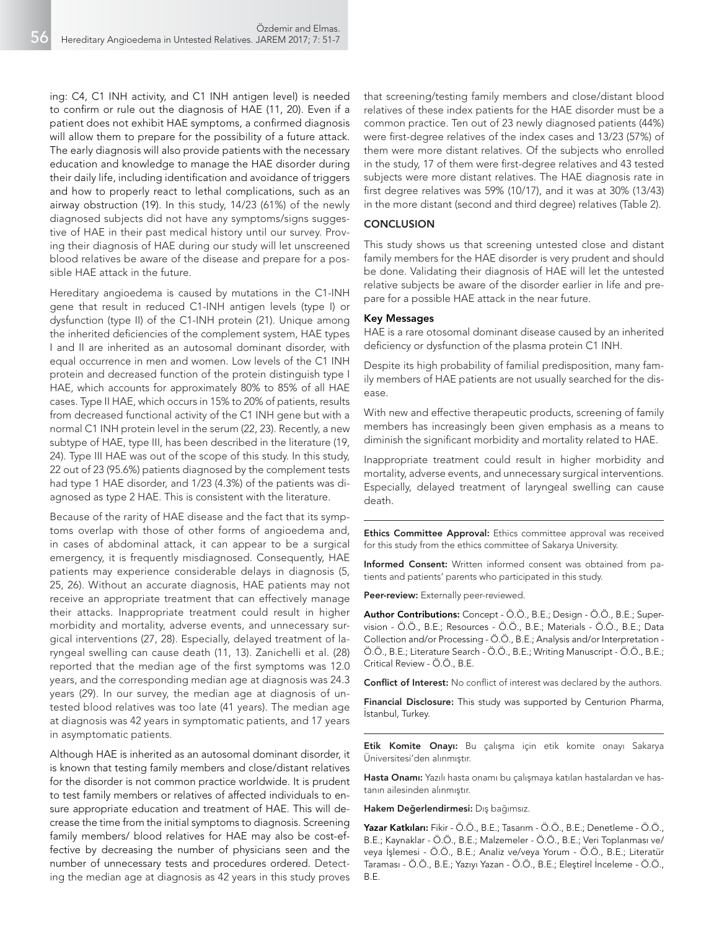ing: C4, C1 INH activity, and C1 INH antigen level) is needed to confirm or rule out the diagnosis of HAE (11, 20). Even if a patient does not exhibit HAE symptoms, a confirmed diagnosis will allow them to prepare for the possibility of a future attack. The early diagnosis will also provide patients with the necessary education and knowledge to manage the HAE disorder during their daily life, including identification and avoidance of triggers and how to properly react to lethal complications, such as an airway obstruction (19). In this study, 14/23 (61%) of the newly diagnosed subjects did not have any symptoms/signs suggestive of HAE in their past medical history until our survey. Proving their diagnosis of HAE during our study will let unscreened blood relatives be aware of the disease and prepare for a possible HAE attack in the future.

Hereditary angioedema is caused by mutations in the C1-INH gene that result in reduced C1-INH antigen levels (type I) or dysfunction (type II) of the C1-INH protein (21). Unique among the inherited deficiencies of the complement system, HAE types I and II are inherited as an autosomal dominant disorder, with equal occurrence in men and women. Low levels of the C1 INH protein and decreased function of the protein distinguish type I HAE, which accounts for approximately 80% to 85% of all HAE cases. Type II HAE, which occurs in 15% to 20% of patients, results from decreased functional activity of the C1 INH gene but with a normal C1 INH protein level in the serum (22, 23). Recently, a new subtype of HAE, type III, has been described in the literature (19, 24). Type III HAE was out of the scope of this study. In this study, 22 out of 23 (95.6%) patients diagnosed by the complement tests had type 1 HAE disorder, and 1/23 (4.3%) of the patients was diagnosed as type 2 HAE. This is consistent with the literature.

Because of the rarity of HAE disease and the fact that its symptoms overlap with those of other forms of angioedema and, in cases of abdominal attack, it can appear to be a surgical emergency, it is frequently misdiagnosed. Consequently, HAE patients may experience considerable delays in diagnosis (5, 25, 26). Without an accurate diagnosis, HAE patients may not receive an appropriate treatment that can effectively manage their attacks. Inappropriate treatment could result in higher morbidity and mortality, adverse events, and unnecessary surgical interventions (27, 28). Especially, delayed treatment of laryngeal swelling can cause death (11, 13). Zanichelli et al. (28) reported that the median age of the first symptoms was 12.0 years, and the corresponding median age at diagnosis was 24.3 years (29). In our survey, the median age at diagnosis of untested blood relatives was too late (41 years). The median age at diagnosis was 42 years in symptomatic patients, and 17 years in asymptomatic patients.

Although HAE is inherited as an autosomal dominant disorder, it is known that testing family members and close/distant relatives for the disorder is not common practice worldwide. It is prudent to test family members or relatives of affected individuals to ensure appropriate education and treatment of HAE. This will decrease the time from the initial symptoms to diagnosis. Screening family members/ blood relatives for HAE may also be cost-effective by decreasing the number of physicians seen and the number of unnecessary tests and procedures ordered. Detecting the median age at diagnosis as 42 years in this study proves that screening/testing family members and close/distant blood relatives of these index patients for the HAE disorder must be a common practice. Ten out of 23 newly diagnosed patients (44%) were first-degree relatives of the index cases and 13/23 (57%) of them were more distant relatives. Of the subjects who enrolled in the study, 17 of them were first-degree relatives and 43 tested subjects were more distant relatives. The HAE diagnosis rate in first degree relatives was 59% (10/17), and it was at 30% (13/43) in the more distant (second and third degree) relatives (Table 2).

# **CONCLUSION**

This study shows us that screening untested close and distant family members for the HAE disorder is very prudent and should be done. Validating their diagnosis of HAE will let the untested relative subjects be aware of the disorder earlier in life and prepare for a possible HAE attack in the near future.

#### Key Messages

HAE is a rare otosomal dominant disease caused by an inherited deficiency or dysfunction of the plasma protein C1 INH.

Despite its high probability of familial predisposition, many family members of HAE patients are not usually searched for the disease.

With new and effective therapeutic products, screening of family members has increasingly been given emphasis as a means to diminish the significant morbidity and mortality related to HAE.

Inappropriate treatment could result in higher morbidity and mortality, adverse events, and unnecessary surgical interventions. Especially, delayed treatment of laryngeal swelling can cause death.

Ethics Committee Approval: Ethics committee approval was received for this study from the ethics committee of Sakarya University.

Informed Consent: Written informed consent was obtained from patients and patients' parents who participated in this study.

Peer-review: Externally peer-reviewed.

Author Contributions: Concept - Ö.Ö., B.E.; Design - Ö.Ö., B.E.; Supervision - Ö.Ö., B.E.; Resources - Ö.Ö., B.E.; Materials - Ö.Ö., B.E.; Data Collection and/or Processing - Ö.Ö., B.E.; Analysis and/or Interpretation - Ö.Ö., B.E.; Literature Search - Ö.Ö., B.E.; Writing Manuscript - Ö.Ö., B.E.; Critical Review - Ö.Ö., B.E.

Conflict of Interest: No conflict of interest was declared by the authors.

Financial Disclosure: This study was supported by Centurion Pharma, İstanbul, Turkey.

Etik Komite Onayı: Bu çalışma için etik komite onayı Sakarya Üniversitesi'den alınmıştır.

Hasta Onamı: Yazılı hasta onamı bu çalışmaya katılan hastalardan ve hastanın ailesinden alınmıştır.

Hakem Değerlendirmesi: Dış bağımsız.

Yazar Katkıları: Fikir - Ö.Ö., B.E.; Tasarım - Ö.Ö., B.E.; Denetleme - Ö.Ö., B.E.; Kaynaklar - Ö.Ö., B.E.; Malzemeler - Ö.Ö., B.E.; Veri Toplanması ve/ veya İşlemesi - Ö.Ö., B.E.; Analiz ve/veya Yorum - Ö.Ö., B.E.; Literatür Taraması - Ö.Ö., B.E.; Yazıyı Yazan - Ö.Ö., B.E.; Eleştirel İnceleme - Ö.Ö., B.E.